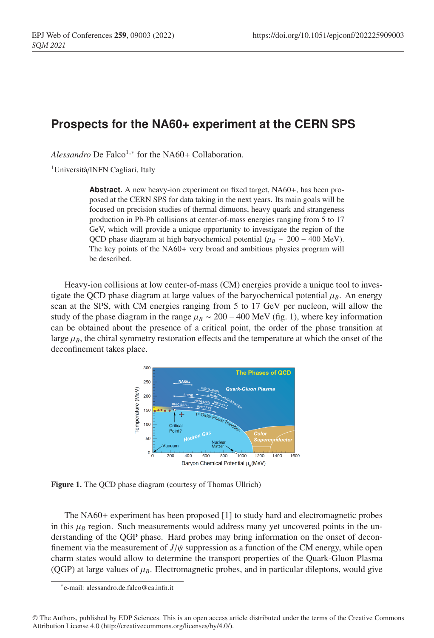## **Prospects for the NA60+ experiment at the CERN SPS**

Alessandro De Falco<sup>1,\*</sup> for the NA60+ Collaboration.

1Università/INFN Cagliari, Italy

Abstract. A new heavy-ion experiment on fixed target, NA60+, has been proposed at the CERN SPS for data taking in the next years. Its main goals will be focused on precision studies of thermal dimuons, heavy quark and strangeness production in Pb-Pb collisions at center-of-mass energies ranging from 5 to 17 GeV, which will provide a unique opportunity to investigate the region of the QCD phase diagram at high baryochemical potential ( $\mu_B \sim 200 - 400 \text{ MeV}$ ). The key points of the NA60 + very broad and ambitious physics program will be described.

Heavy-ion collisions at low center-of-mass (CM) energies provide a unique tool to investigate the QCD phase diagram at large values of the baryochemical potential  $\mu_B$ . An energy scan at the SPS, with CM energies ranging from 5 to 17 GeV per nucleon, will allow the study of the phase diagram in the range  $\mu_B \sim 200 - 400$  MeV (fig. 1), where key information can be obtained about the presence of a critical point, the order of the phase transition at large  $\mu_B$ , the chiral symmetry restoration effects and the temperature at which the onset of the deconfinement takes place.



Figure 1. The QCD phase diagram (courtesy of Thomas Ullrich)

The NA60 + experiment has been proposed [1] to study hard and electromagnetic probes in this  $\mu_B$  region. Such measurements would address many yet uncovered points in the understanding of the QGP phase. Hard probes may bring information on the onset of deconfinement via the measurement of  $J/\psi$  suppression as a function of the CM energy, while open charm states would allow to determine the transport properties of the Quark-Gluon Plasma (QGP) at large values of  $\mu_B$ . Electromagnetic probes, and in particular dileptons, would give

<sup>∗</sup>e-mail: alessandro.de.falco@ca.infn.it

<sup>©</sup> The Authors, published by EDP Sciences. This is an open access article distributed under the terms of the Creative Commons Attribution License 4.0 (http://creativecommons.org/licenses/by/4.0/).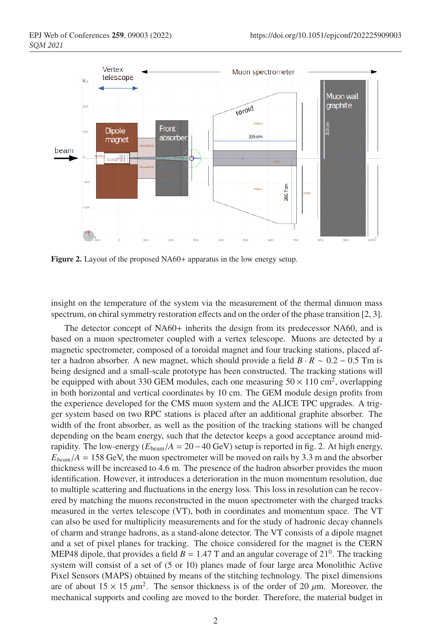

Figure 2. Layout of the proposed NA60+ apparatus in the low energy setup.

insight on the temperature of the system via the measurement of the thermal dimuon mass spectrum, on chiral symmetry restoration effects and on the order of the phase transition [2, 3].

The detector concept of NA60+ inherits the design from its predecessor NA60, and is based on a muon spectrometer coupled with a vertex telescope. Muons are detected by a magnetic spectrometer, composed of a toroidal magnet and four tracking stations, placed after a hadron absorber. A new magnet, which should provide a field  $B \cdot R \sim 0.2 - 0.5$  Tm is being designed and a small-scale prototype has been constructed. The tracking stations will be equipped with about 330 GEM modules, each one measuring  $50 \times 110$  cm<sup>2</sup>, overlapping in both horizontal and vertical coordinates by 10 cm. The GEM module design profits from the experience developed for the CMS muon system and the ALICE TPC upgrades. A trigger system based on two RPC stations is placed after an additional graphite absorber. The width of the front absorber, as well as the position of the tracking stations will be changed depending on the beam energy, such that the detector keeps a good acceptance around midrapidity. The low-energy  $(E_{\text{beam}}/A = 20 - 40 \text{ GeV})$  setup is reported in fig. 2. At high energy,  $E_{beam}/A = 158$  GeV, the muon spectrometer will be moved on rails by 3.3 m and the absorber thickness will be increased to 4.6 m. The presence of the hadron absorber provides the muon identification. However, it introduces a deterioration in the muon momentum resolution, due to multiple scattering and fluctuations in the energy loss. This loss in resolution can be recovered by matching the muons reconstructed in the muon spectrometer with the charged tracks measured in the vertex telescope (VT), both in coordinates and momentum space. The VT can also be used for multiplicity measurements and for the study of hadronic decay channels of charm and strange hadrons, as a stand-alone detector. The VT consists of a dipole magnet and a set of pixel planes for tracking. The choice considered for the magnet is the CERN MEP48 dipole, that provides a field  $B = 1.47$  T and an angular coverage of  $21^0$ . The tracking system will consist of a set of (5 or 10) planes made of four large area Monolithic Active Pixel Sensors (MAPS) obtained by means of the stitching technology. The pixel dimensions are of about  $15 \times 15 \mu m^2$ . The sensor thickness is of the order of 20  $\mu$ m. Moreover, the mechanical supports and cooling are moved to the border. Therefore, the material budget in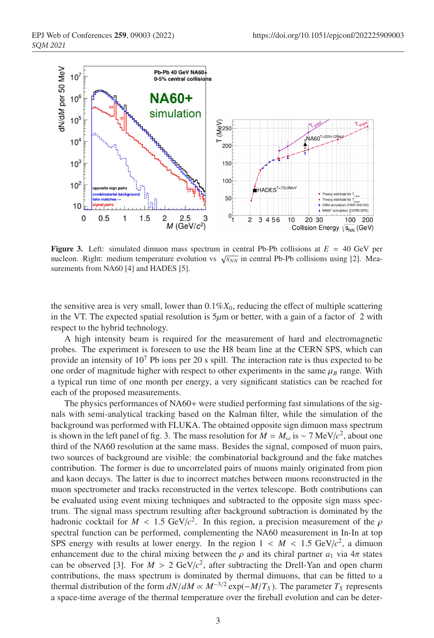

Figure 3. Left: simulated dimuon mass spectrum in central Pb-Pb collisions at *E* = 40 GeV per nucleon. Right: medium temperature evolution vs  $\sqrt{s_{NN}}$  in central Pb-Pb collisions using [2]. Measurements from NA60 [4] and HADES [5].

the sensitive area is very small, lower than  $0.1\%X_0$ , reducing the effect of multiple scattering in the VT. The expected spatial resolution is  $5\mu$ m or better, with a gain of a factor of 2 with respect to the hybrid technology.

A high intensity beam is required for the measurement of hard and electromagnetic probes. The experiment is foreseen to use the H8 beam line at the CERN SPS, which can provide an intensity of  $10^7$  Pb ions per 20 s spill. The interaction rate is thus expected to be one order of magnitude higher with respect to other experiments in the same  $\mu_B$  range. With a typical run time of one month per energy, a very significant statistics can be reached for each of the proposed measurements.

The physics performances of NA60+ were studied performing fast simulations of the signals with semi-analytical tracking based on the Kalman filter, while the simulation of the background was performed with FLUKA. The obtained opposite sign dimuon mass spectrum is shown in the left panel of fig. 3. The mass resolution for  $M = M_{\omega}$  is ~ 7 MeV/ $c^2$ , about one third of the NA60 resolution at the same mass. Besides the signal, composed of muon pairs, two sources of background are visible: the combinatorial background and the fake matches contribution. The former is due to uncorrelated pairs of muons mainly originated from pion and kaon decays. The latter is due to incorrect matches between muons reconstructed in the muon spectrometer and tracks reconstructed in the vertex telescope. Both contributions can be evaluated using event mixing techniques and subtracted to the opposite sign mass spectrum. The signal mass spectrum resulting after background subtraction is dominated by the hadronic cocktail for  $M < 1.5$  GeV/ $c^2$ . In this region, a precision measurement of the  $\rho$ spectral function can be performed, complementing the NA60 measurement in In-In at top SPS energy with results at lower energy. In the region  $1 < M < 1.5$  GeV/ $c^2$ , a dimuon enhancement due to the chiral mixing between the  $\rho$  and its chiral partner  $a_1$  via  $4\pi$  states can be observed [3]. For  $M > 2$  GeV/ $c^2$ , after subtracting the Drell-Yan and open charm contributions, the mass spectrum is dominated by thermal dimuons, that can be fitted to a thermal distribution of the form  $dN/dM \propto M^{-3/2} \exp(-M/T_S)$ . The parameter  $T_S$  represents a space-time average of the thermal temperature over the fireball evolution and can be deter